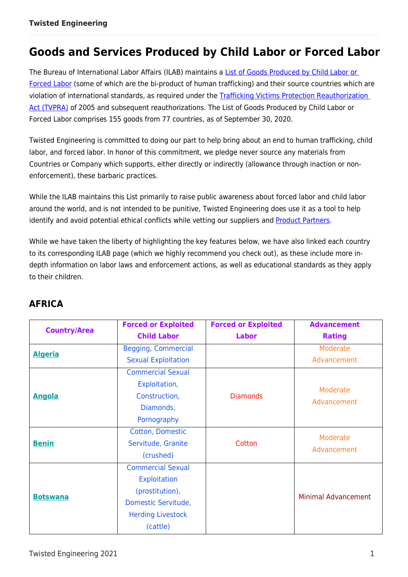# **Goods and Services Produced by Child Labor or Forced Labor**

The Bureau of International Labor Affairs (ILAB) maintains a [List of Goods Produced by Child Labor or](https://www.dol.gov/agencies/ilab/reports/child-labor/list-of-goods?field_exp_exploitation_type_target_id_1=All&tid=All&field_exp_good_target_id=All&items_per_page=10&combine=&page=0)  [Forced](https://www.dol.gov/agencies/ilab/reports/child-labor/list-of-goods?field_exp_exploitation_type_target_id_1=All&tid=All&field_exp_good_target_id=All&items_per_page=10&combine=&page=0) Labor (some of which are the bi-product of human trafficking) and their source countries which are violation of international standards, as required under the [Trafficking Victims Protection Reauthorization](https://www.dol.gov/agencies/ilab/about/laws)  [Act \(TVPRA\)](https://www.dol.gov/agencies/ilab/about/laws) of 2005 and subsequent reauthorizations. The List of Goods Produced by Child Labor or Forced Labor comprises 155 goods from 77 countries, as of September 30, 2020.

Twisted Engineering is committed to doing our part to help bring about an end to human trafficking, child labor, and forced labor. In honor of this commitment, we pledge never source any materials from Countries or Company which supports, either directly or indirectly (allowance through inaction or nonenforcement), these barbaric practices.

While the ILAB maintains this List primarily to raise public awareness about forced labor and child labor around the world, and is not intended to be punitive, Twisted Engineering does use it as a tool to help identify and avoid potential ethical conflicts while vetting our suppliers and **Product Partners**.

While we have taken the liberty of highlighting the key features below, we have also linked each country to its corresponding ILAB page (which we highly recommend you check out), as these include more indepth information on labor laws and enforcement actions, as well as educational standards as they apply to their children.

| <b>Country/Area</b> | <b>Forced or Exploited</b> | <b>Forced or Exploited</b> | <b>Advancement</b>         |
|---------------------|----------------------------|----------------------------|----------------------------|
|                     | <b>Child Labor</b>         | <b>Labor</b>               | <b>Rating</b>              |
| <b>Algeria</b>      | <b>Begging, Commercial</b> |                            | Moderate                   |
|                     | <b>Sexual Exploitation</b> |                            | Advancement                |
|                     | <b>Commercial Sexual</b>   |                            |                            |
|                     | Exploitation,              |                            | Moderate                   |
| <b>Angola</b>       | Construction,              | <b>Diamonds</b>            | Advancement                |
|                     | Diamonds,                  |                            |                            |
|                     | Pornography                |                            |                            |
|                     | Cotton, Domestic           |                            | Moderate                   |
| <b>Benin</b>        | Servitude, Granite         | Cotton                     | Advancement                |
|                     | (crushed)                  |                            |                            |
|                     | <b>Commercial Sexual</b>   |                            |                            |
|                     | <b>Exploitation</b>        |                            |                            |
| <b>Botswana</b>     | (prostitution),            |                            | <b>Minimal Advancement</b> |
|                     | Domestic Servitude,        |                            |                            |
|                     | <b>Herding Livestock</b>   |                            |                            |
|                     | (cattle)                   |                            |                            |

## **AFRICA**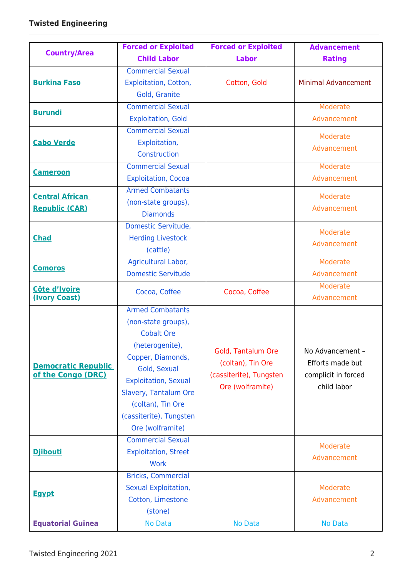|                            | <b>Forced or Exploited</b>  | <b>Forced or Exploited</b> | <b>Advancement</b>         |
|----------------------------|-----------------------------|----------------------------|----------------------------|
| <b>Country/Area</b>        | <b>Child Labor</b>          | <b>Labor</b>               | <b>Rating</b>              |
|                            | <b>Commercial Sexual</b>    |                            |                            |
| <b>Burkina Faso</b>        | Exploitation, Cotton,       | Cotton, Gold               | <b>Minimal Advancement</b> |
|                            | Gold, Granite               |                            |                            |
| <b>Burundi</b>             | <b>Commercial Sexual</b>    |                            | Moderate                   |
|                            | <b>Exploitation, Gold</b>   |                            | Advancement                |
|                            | <b>Commercial Sexual</b>    |                            | Moderate                   |
| <b>Cabo Verde</b>          | Exploitation,               |                            | Advancement                |
|                            | Construction                |                            |                            |
| <b>Cameroon</b>            | <b>Commercial Sexual</b>    |                            | Moderate                   |
|                            | <b>Exploitation, Cocoa</b>  |                            | Advancement                |
| <b>Central African</b>     | <b>Armed Combatants</b>     |                            | Moderate                   |
| <b>Republic (CAR)</b>      | (non-state groups),         |                            | Advancement                |
|                            | <b>Diamonds</b>             |                            |                            |
|                            | Domestic Servitude,         |                            | Moderate                   |
| <b>Chad</b>                | <b>Herding Livestock</b>    |                            | Advancement                |
|                            | (cattle)                    |                            |                            |
| <b>Comoros</b>             | Agricultural Labor,         |                            | Moderate                   |
|                            | <b>Domestic Servitude</b>   |                            | Advancement                |
| Côte d'Ivoire              | Cocoa, Coffee               | Cocoa, Coffee              | Moderate                   |
| (Ivory Coast)              |                             |                            | Advancement                |
|                            | <b>Armed Combatants</b>     |                            |                            |
|                            | (non-state groups),         |                            |                            |
|                            | <b>Cobalt Ore</b>           |                            |                            |
|                            | (heterogenite),             | Gold, Tantalum Ore         | No Advancement -           |
| <b>Democratic Republic</b> | Copper, Diamonds,           | (coltan), Tin Ore          | Efforts made but           |
| of the Congo (DRC)         | Gold, Sexual                | (cassiterite), Tungsten    | complicit in forced        |
|                            | <b>Exploitation, Sexual</b> | Ore (wolframite)           | child labor                |
|                            | Slavery, Tantalum Ore       |                            |                            |
|                            | (coltan), Tin Ore           |                            |                            |
|                            | (cassiterite), Tungsten     |                            |                            |
|                            | Ore (wolframite)            |                            |                            |
|                            | <b>Commercial Sexual</b>    |                            | Moderate                   |
| <b>Djibouti</b>            | <b>Exploitation, Street</b> |                            | Advancement                |
|                            | <b>Work</b>                 |                            |                            |
|                            | <b>Bricks, Commercial</b>   |                            |                            |
| <b>Egypt</b>               | Sexual Exploitation,        |                            | Moderate                   |
|                            | Cotton, Limestone           |                            | Advancement                |
|                            | (stone)                     |                            |                            |
| <b>Equatorial Guinea</b>   | No Data                     | No Data                    | No Data                    |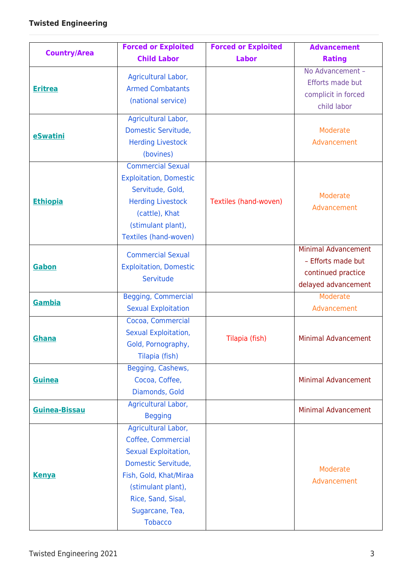| <b>Country/Area</b> | <b>Forced or Exploited</b>    | <b>Forced or Exploited</b> | <b>Advancement</b>         |
|---------------------|-------------------------------|----------------------------|----------------------------|
|                     | <b>Child Labor</b>            | <b>Labor</b>               | <b>Rating</b>              |
|                     | Agricultural Labor,           |                            | No Advancement -           |
| <b>Eritrea</b>      | <b>Armed Combatants</b>       |                            | Efforts made but           |
|                     | (national service)            |                            | complicit in forced        |
|                     |                               |                            | child labor                |
|                     | Agricultural Labor,           |                            |                            |
| eSwatini            | Domestic Servitude,           |                            | Moderate                   |
|                     | <b>Herding Livestock</b>      |                            | Advancement                |
|                     | (bovines)                     |                            |                            |
|                     | <b>Commercial Sexual</b>      |                            |                            |
|                     | <b>Exploitation, Domestic</b> |                            |                            |
|                     | Servitude, Gold,              |                            | Moderate                   |
| <b>Ethiopia</b>     | <b>Herding Livestock</b>      | Textiles (hand-woven)      | Advancement                |
|                     | (cattle), Khat                |                            |                            |
|                     | (stimulant plant),            |                            |                            |
|                     | Textiles (hand-woven)         |                            |                            |
|                     | <b>Commercial Sexual</b>      |                            | <b>Minimal Advancement</b> |
| Gabon               | <b>Exploitation, Domestic</b> |                            | - Efforts made but         |
|                     | Servitude                     |                            | continued practice         |
|                     |                               |                            | delayed advancement        |
| Gambia              | <b>Begging, Commercial</b>    |                            | Moderate                   |
|                     | <b>Sexual Exploitation</b>    |                            | Advancement                |
|                     | Cocoa, Commercial             |                            |                            |
| Ghana               | Sexual Exploitation,          | Tilapia (fish)             | <b>Minimal Advancement</b> |
|                     | Gold, Pornography,            |                            |                            |
|                     | Tilapia (fish)                |                            |                            |
|                     | Begging, Cashews,             |                            |                            |
| <b>Guinea</b>       | Cocoa, Coffee,                |                            | <b>Minimal Advancement</b> |
|                     | Diamonds, Gold                |                            |                            |
| Guinea-Bissau       | Agricultural Labor,           |                            | <b>Minimal Advancement</b> |
|                     | <b>Begging</b>                |                            |                            |
|                     | Agricultural Labor,           |                            |                            |
|                     | Coffee, Commercial            |                            |                            |
|                     | Sexual Exploitation,          |                            |                            |
|                     | Domestic Servitude,           |                            | Moderate                   |
| <b>Kenya</b>        | Fish, Gold, Khat/Miraa        |                            | Advancement                |
|                     | (stimulant plant),            |                            |                            |
|                     | Rice, Sand, Sisal,            |                            |                            |
|                     | Sugarcane, Tea,               |                            |                            |
|                     | <b>Tobacco</b>                |                            |                            |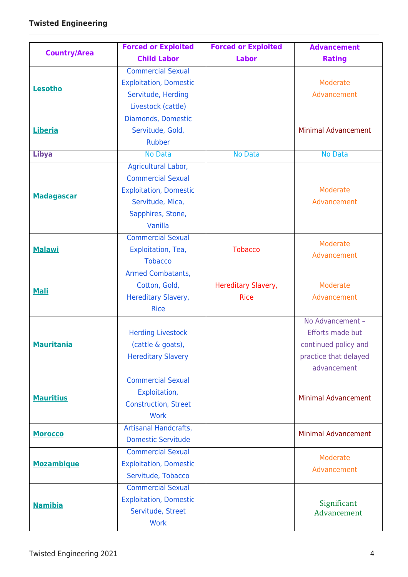|                     | <b>Forced or Exploited</b>    | <b>Forced or Exploited</b> | <b>Advancement</b>         |
|---------------------|-------------------------------|----------------------------|----------------------------|
| <b>Country/Area</b> | <b>Child Labor</b>            | <b>Labor</b>               | <b>Rating</b>              |
|                     | <b>Commercial Sexual</b>      |                            |                            |
| Lesotho             | <b>Exploitation, Domestic</b> |                            | Moderate                   |
|                     | Servitude, Herding            |                            | Advancement                |
|                     | Livestock (cattle)            |                            |                            |
|                     | Diamonds, Domestic            |                            |                            |
| Liberia             | Servitude, Gold,              |                            | <b>Minimal Advancement</b> |
|                     | <b>Rubber</b>                 |                            |                            |
| <b>Libya</b>        | No Data                       | <b>No Data</b>             | No Data                    |
|                     | Agricultural Labor,           |                            |                            |
|                     | <b>Commercial Sexual</b>      |                            |                            |
| <b>Madagascar</b>   | <b>Exploitation, Domestic</b> |                            | Moderate                   |
|                     | Servitude, Mica,              |                            | Advancement                |
|                     | Sapphires, Stone,             |                            |                            |
|                     | Vanilla                       |                            |                            |
|                     | <b>Commercial Sexual</b>      |                            | Moderate                   |
| <b>Malawi</b>       | Exploitation, Tea,            | <b>Tobacco</b>             | Advancement                |
|                     | <b>Tobacco</b>                |                            |                            |
|                     | <b>Armed Combatants,</b>      |                            |                            |
| <b>Mali</b>         | Cotton, Gold,                 | Hereditary Slavery,        | Moderate                   |
|                     | Hereditary Slavery,           | <b>Rice</b>                | Advancement                |
|                     | <b>Rice</b>                   |                            |                            |
|                     |                               |                            | No Advancement -           |
|                     | <b>Herding Livestock</b>      |                            | Efforts made but           |
| <b>Mauritania</b>   | (cattle & goats),             |                            | continued policy and       |
|                     | <b>Hereditary Slavery</b>     |                            | practice that delayed      |
|                     |                               |                            | advancement                |
|                     | <b>Commercial Sexual</b>      |                            |                            |
| <b>Mauritius</b>    | Exploitation,                 |                            | <b>Minimal Advancement</b> |
|                     | <b>Construction, Street</b>   |                            |                            |
|                     | <b>Work</b>                   |                            |                            |
| <b>Morocco</b>      | <b>Artisanal Handcrafts,</b>  |                            | <b>Minimal Advancement</b> |
|                     | <b>Domestic Servitude</b>     |                            |                            |
|                     | <b>Commercial Sexual</b>      |                            | Moderate                   |
| <b>Mozambique</b>   | <b>Exploitation, Domestic</b> |                            | Advancement                |
|                     | Servitude, Tobacco            |                            |                            |
|                     | <b>Commercial Sexual</b>      |                            |                            |
| <b>Namibia</b>      | <b>Exploitation, Domestic</b> |                            | Significant                |
|                     | Servitude, Street             |                            | Advancement                |
|                     | <b>Work</b>                   |                            |                            |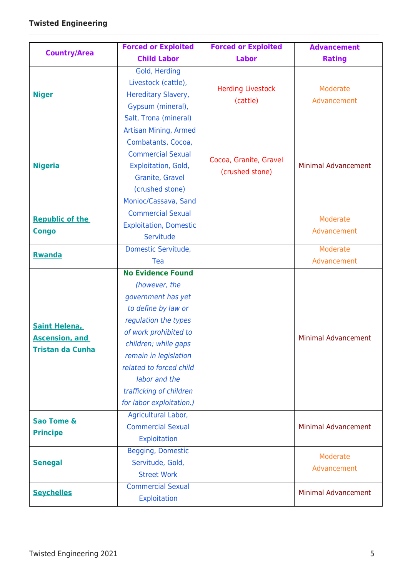|                                                                          | <b>Forced or Exploited</b>                                                                                                                                                                                                                                                                  | <b>Forced or Exploited</b>                | <b>Advancement</b>         |
|--------------------------------------------------------------------------|---------------------------------------------------------------------------------------------------------------------------------------------------------------------------------------------------------------------------------------------------------------------------------------------|-------------------------------------------|----------------------------|
| <b>Country/Area</b>                                                      | <b>Child Labor</b>                                                                                                                                                                                                                                                                          | <b>Labor</b>                              | <b>Rating</b>              |
| <b>Niger</b>                                                             | Gold, Herding<br>Livestock (cattle),<br>Hereditary Slavery,<br>Gypsum (mineral),<br>Salt, Trona (mineral)                                                                                                                                                                                   | <b>Herding Livestock</b><br>(cattle)      | Moderate<br>Advancement    |
| <b>Nigeria</b>                                                           | <b>Artisan Mining, Armed</b><br>Combatants, Cocoa,<br><b>Commercial Sexual</b><br>Exploitation, Gold,<br>Granite, Gravel<br>(crushed stone)<br>Monioc/Cassava, Sand                                                                                                                         | Cocoa, Granite, Gravel<br>(crushed stone) | <b>Minimal Advancement</b> |
| <b>Republic of the</b><br><b>Congo</b>                                   | <b>Commercial Sexual</b><br><b>Exploitation, Domestic</b><br>Servitude                                                                                                                                                                                                                      |                                           | Moderate<br>Advancement    |
| <b>Rwanda</b>                                                            | Domestic Servitude,<br>Tea                                                                                                                                                                                                                                                                  |                                           | Moderate<br>Advancement    |
| <b>Saint Helena,</b><br><b>Ascension, and</b><br><b>Tristan da Cunha</b> | <b>No Evidence Found</b><br>(however, the<br>government has yet<br>to define by law or<br>regulation the types<br>of work prohibited to<br>children; while gaps<br>remain in legislation<br>related to forced child<br>labor and the<br>trafficking of children<br>for labor exploitation.) |                                           | <b>Minimal Advancement</b> |
| <b>Sao Tome &amp;</b><br><b>Principe</b>                                 | Agricultural Labor,<br><b>Commercial Sexual</b><br><b>Exploitation</b>                                                                                                                                                                                                                      |                                           | <b>Minimal Advancement</b> |
| <b>Senegal</b>                                                           | Begging, Domestic<br>Servitude, Gold,<br><b>Street Work</b>                                                                                                                                                                                                                                 |                                           | Moderate<br>Advancement    |
| <b>Seychelles</b>                                                        | <b>Commercial Sexual</b><br>Exploitation                                                                                                                                                                                                                                                    |                                           | <b>Minimal Advancement</b> |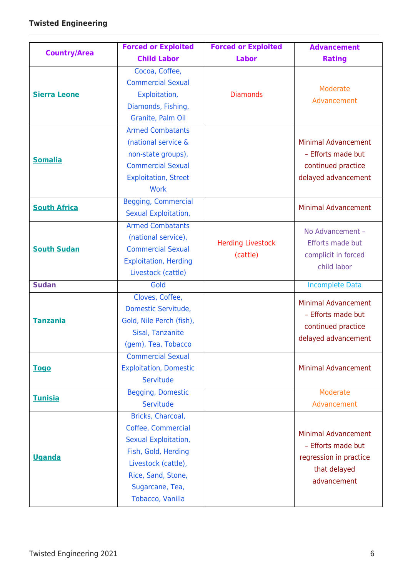|                     | <b>Forced or Exploited</b>                                                                                                                                                 | <b>Forced or Exploited</b>           | <b>Advancement</b>                                                                                        |
|---------------------|----------------------------------------------------------------------------------------------------------------------------------------------------------------------------|--------------------------------------|-----------------------------------------------------------------------------------------------------------|
| <b>Country/Area</b> | <b>Child Labor</b>                                                                                                                                                         | <b>Labor</b>                         | <b>Rating</b>                                                                                             |
| <b>Sierra Leone</b> | Cocoa, Coffee,<br><b>Commercial Sexual</b><br>Exploitation,<br>Diamonds, Fishing,<br>Granite, Palm Oil                                                                     | <b>Diamonds</b>                      | Moderate<br>Advancement                                                                                   |
| <b>Somalia</b>      | <b>Armed Combatants</b><br>(national service &<br>non-state groups),<br><b>Commercial Sexual</b><br><b>Exploitation, Street</b><br><b>Work</b>                             |                                      | <b>Minimal Advancement</b><br>- Efforts made but<br>continued practice<br>delayed advancement             |
| <b>South Africa</b> | <b>Begging, Commercial</b><br>Sexual Exploitation,                                                                                                                         |                                      | <b>Minimal Advancement</b>                                                                                |
| <b>South Sudan</b>  | <b>Armed Combatants</b><br>(national service),<br><b>Commercial Sexual</b><br><b>Exploitation, Herding</b><br>Livestock (cattle)                                           | <b>Herding Livestock</b><br>(cattle) | No Advancement -<br>Efforts made but<br>complicit in forced<br>child labor                                |
| <b>Sudan</b>        | Gold                                                                                                                                                                       |                                      | <b>Incomplete Data</b>                                                                                    |
| <b>Tanzania</b>     | Cloves, Coffee,<br>Domestic Servitude,<br>Gold, Nile Perch (fish),<br>Sisal, Tanzanite<br>(gem), Tea, Tobacco                                                              |                                      | <b>Minimal Advancement</b><br>- Efforts made but<br>continued practice<br>delayed advancement             |
| <b>Togo</b>         | <b>Commercial Sexual</b><br><b>Exploitation, Domestic</b><br>Servitude                                                                                                     |                                      | <b>Minimal Advancement</b>                                                                                |
| <b>Tunisia</b>      | Begging, Domestic<br>Servitude                                                                                                                                             |                                      | Moderate<br>Advancement                                                                                   |
| <b>Uganda</b>       | Bricks, Charcoal,<br>Coffee, Commercial<br>Sexual Exploitation,<br>Fish, Gold, Herding<br>Livestock (cattle),<br>Rice, Sand, Stone,<br>Sugarcane, Tea,<br>Tobacco, Vanilla |                                      | <b>Minimal Advancement</b><br>- Efforts made but<br>regression in practice<br>that delayed<br>advancement |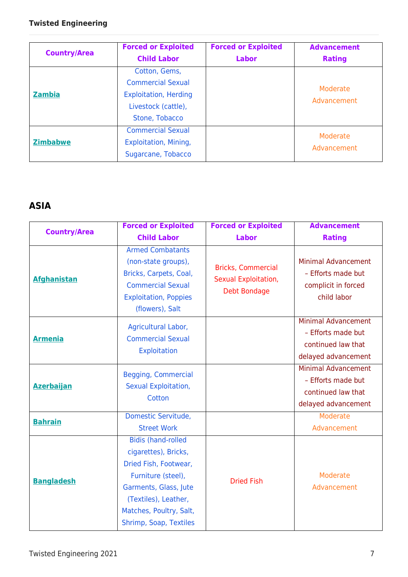| <b>Country/Area</b> | <b>Forced or Exploited</b><br><b>Child Labor</b>                                                                   | <b>Forced or Exploited</b><br><b>Labor</b> | <b>Advancement</b><br><b>Rating</b> |
|---------------------|--------------------------------------------------------------------------------------------------------------------|--------------------------------------------|-------------------------------------|
| <b>Zambia</b>       | Cotton, Gems,<br><b>Commercial Sexual</b><br><b>Exploitation, Herding</b><br>Livestock (cattle),<br>Stone, Tobacco |                                            | Moderate<br>Advancement             |
| <b>Zimbabwe</b>     | <b>Commercial Sexual</b><br>Exploitation, Mining,<br>Sugarcane, Tobacco                                            |                                            | Moderate<br>Advancement             |

### **ASIA**

|                     | <b>Forced or Exploited</b>                                                                                                                                                                             | <b>Forced or Exploited</b>                                        | <b>Advancement</b>                                                                            |
|---------------------|--------------------------------------------------------------------------------------------------------------------------------------------------------------------------------------------------------|-------------------------------------------------------------------|-----------------------------------------------------------------------------------------------|
| <b>Country/Area</b> | <b>Child Labor</b>                                                                                                                                                                                     | <b>Labor</b>                                                      | <b>Rating</b>                                                                                 |
| <b>Afghanistan</b>  | <b>Armed Combatants</b><br>(non-state groups),<br>Bricks, Carpets, Coal,<br><b>Commercial Sexual</b><br><b>Exploitation, Poppies</b><br>(flowers), Salt                                                | <b>Bricks, Commercial</b><br>Sexual Exploitation,<br>Debt Bondage | <b>Minimal Advancement</b><br>- Efforts made but<br>complicit in forced<br>child labor        |
| <b>Armenia</b>      | Agricultural Labor,<br><b>Commercial Sexual</b><br>Exploitation                                                                                                                                        |                                                                   | <b>Minimal Advancement</b><br>- Efforts made but<br>continued law that<br>delayed advancement |
| <b>Azerbaijan</b>   | <b>Begging, Commercial</b><br>Sexual Exploitation,<br>Cotton                                                                                                                                           |                                                                   | <b>Minimal Advancement</b><br>- Efforts made but<br>continued law that<br>delayed advancement |
| <b>Bahrain</b>      | Domestic Servitude,<br><b>Street Work</b>                                                                                                                                                              |                                                                   | Moderate<br>Advancement                                                                       |
| <b>Bangladesh</b>   | <b>Bidis (hand-rolled</b><br>cigarettes), Bricks,<br>Dried Fish, Footwear,<br>Furniture (steel),<br>Garments, Glass, Jute<br>(Textiles), Leather,<br>Matches, Poultry, Salt,<br>Shrimp, Soap, Textiles | <b>Dried Fish</b>                                                 | Moderate<br>Advancement                                                                       |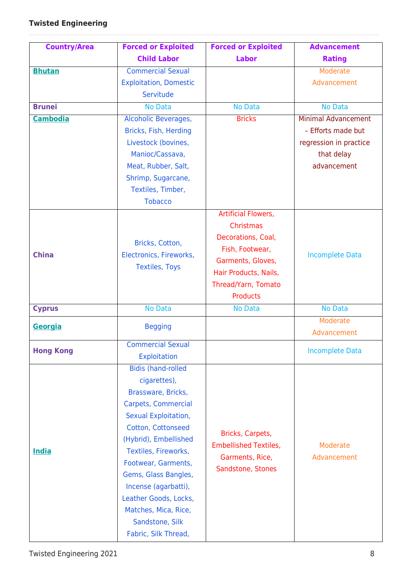| <b>Country/Area</b> | <b>Forced or Exploited</b>    | <b>Forced or Exploited</b>   | <b>Advancement</b>         |
|---------------------|-------------------------------|------------------------------|----------------------------|
|                     | <b>Child Labor</b>            | <b>Labor</b>                 | <b>Rating</b>              |
| <b>Bhutan</b>       | <b>Commercial Sexual</b>      |                              | Moderate                   |
|                     | <b>Exploitation, Domestic</b> |                              | Advancement                |
|                     | Servitude                     |                              |                            |
| <b>Brunei</b>       | <b>No Data</b>                | <b>No Data</b>               | <b>No Data</b>             |
| <b>Cambodia</b>     | Alcoholic Beverages,          | <b>Bricks</b>                | <b>Minimal Advancement</b> |
|                     | Bricks, Fish, Herding         |                              | - Efforts made but         |
|                     | Livestock (bovines,           |                              | regression in practice     |
|                     | Manioc/Cassava,               |                              | that delay                 |
|                     | Meat, Rubber, Salt,           |                              | advancement                |
|                     | Shrimp, Sugarcane,            |                              |                            |
|                     | Textiles, Timber,             |                              |                            |
|                     | <b>Tobacco</b>                |                              |                            |
|                     |                               | <b>Artificial Flowers,</b>   |                            |
|                     |                               | Christmas                    |                            |
|                     | Bricks, Cotton,               | Decorations, Coal,           |                            |
| <b>China</b>        | Electronics, Fireworks,       | Fish, Footwear,              | <b>Incomplete Data</b>     |
|                     | <b>Textiles, Toys</b>         | Garments, Gloves,            |                            |
|                     |                               | Hair Products, Nails,        |                            |
|                     |                               | Thread/Yarn, Tomato          |                            |
|                     |                               | <b>Products</b>              |                            |
| <b>Cyprus</b>       | No Data                       | <b>No Data</b>               | <b>No Data</b><br>Moderate |
| Georgia             | <b>Begging</b>                |                              | Advancement                |
| <b>Hong Kong</b>    | <b>Commercial Sexual</b>      |                              | <b>Incomplete Data</b>     |
|                     | <b>Exploitation</b>           |                              |                            |
|                     | <b>Bidis (hand-rolled</b>     |                              |                            |
|                     | cigarettes),                  |                              |                            |
|                     | Brassware, Bricks,            |                              |                            |
|                     | Carpets, Commercial           |                              |                            |
|                     | Sexual Exploitation,          |                              |                            |
|                     | Cotton, Cottonseed            | Bricks, Carpets,             |                            |
|                     | (Hybrid), Embellished         | <b>Embellished Textiles,</b> | Moderate                   |
| <b>India</b>        | Textiles, Fireworks,          | Garments, Rice,              | Advancement                |
|                     | Footwear, Garments,           | Sandstone, Stones            |                            |
|                     | Gems, Glass Bangles,          |                              |                            |
|                     | Incense (agarbatti),          |                              |                            |
|                     | Leather Goods, Locks,         |                              |                            |
|                     | Matches, Mica, Rice,          |                              |                            |
|                     | Sandstone, Silk               |                              |                            |
|                     | Fabric, Silk Thread,          |                              |                            |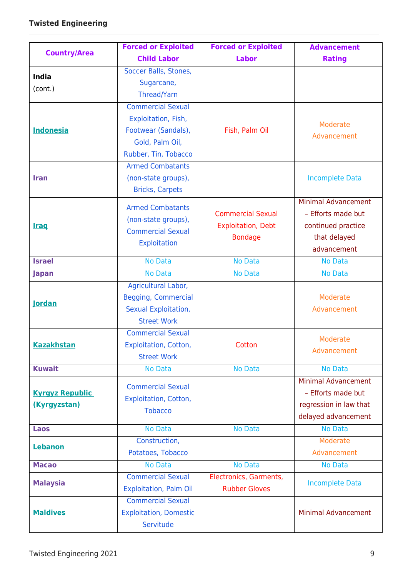|                        | <b>Forced or Exploited</b>    | <b>Forced or Exploited</b> | <b>Advancement</b>         |
|------------------------|-------------------------------|----------------------------|----------------------------|
| <b>Country/Area</b>    | <b>Child Labor</b>            | <b>Labor</b>               | <b>Rating</b>              |
| <b>India</b>           | Soccer Balls, Stones,         |                            |                            |
| (cont.)                | Sugarcane,                    |                            |                            |
|                        | Thread/Yarn                   |                            |                            |
|                        | <b>Commercial Sexual</b>      |                            |                            |
|                        | Exploitation, Fish,           |                            | Moderate                   |
| <b>Indonesia</b>       | Footwear (Sandals),           | Fish, Palm Oil             | Advancement                |
|                        | Gold, Palm Oil,               |                            |                            |
|                        | Rubber, Tin, Tobacco          |                            |                            |
|                        | <b>Armed Combatants</b>       |                            |                            |
| <b>Iran</b>            | (non-state groups),           |                            | <b>Incomplete Data</b>     |
|                        | <b>Bricks, Carpets</b>        |                            |                            |
|                        | <b>Armed Combatants</b>       |                            | <b>Minimal Advancement</b> |
|                        | (non-state groups),           | <b>Commercial Sexual</b>   | - Efforts made but         |
| <b>Iraq</b>            | <b>Commercial Sexual</b>      | <b>Exploitation, Debt</b>  | continued practice         |
|                        | Exploitation                  | <b>Bondage</b>             | that delayed               |
|                        |                               |                            | advancement                |
| <b>Israel</b>          | <b>No Data</b>                | <b>No Data</b>             | <b>No Data</b>             |
| Japan                  | <b>No Data</b>                | <b>No Data</b>             | No Data                    |
|                        | Agricultural Labor,           |                            |                            |
| <b>Jordan</b>          | <b>Begging, Commercial</b>    |                            | Moderate                   |
|                        | Sexual Exploitation,          |                            | Advancement                |
|                        | <b>Street Work</b>            |                            |                            |
|                        | <b>Commercial Sexual</b>      |                            | Moderate                   |
| <b>Kazakhstan</b>      | <b>Exploitation, Cotton,</b>  | Cotton                     | Advancement                |
|                        | <b>Street Work</b>            |                            |                            |
| <b>Kuwait</b>          | <b>No Data</b>                | <b>No Data</b>             | No Data                    |
|                        | <b>Commercial Sexual</b>      |                            | <b>Minimal Advancement</b> |
| <b>Kyrgyz Republic</b> | <b>Exploitation, Cotton,</b>  |                            | - Efforts made but         |
| (Kyrgyzstan)           | <b>Tobacco</b>                |                            | regression in law that     |
|                        |                               |                            | delayed advancement        |
| Laos                   | <b>No Data</b>                | <b>No Data</b>             | No Data                    |
| Lebanon                | Construction,                 |                            | Moderate                   |
|                        | Potatoes, Tobacco             |                            | Advancement                |
| <b>Macao</b>           | <b>No Data</b>                | <b>No Data</b>             | <b>No Data</b>             |
| <b>Malaysia</b>        | <b>Commercial Sexual</b>      | Electronics, Garments,     | <b>Incomplete Data</b>     |
|                        | <b>Exploitation, Palm Oil</b> | <b>Rubber Gloves</b>       |                            |
|                        | <b>Commercial Sexual</b>      |                            |                            |
| <b>Maldives</b>        | <b>Exploitation, Domestic</b> |                            | <b>Minimal Advancement</b> |
|                        | Servitude                     |                            |                            |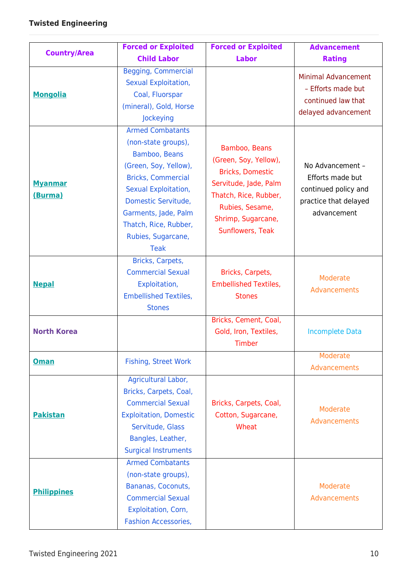| <b>Country/Area</b>       | <b>Forced or Exploited</b>                                                                                                                                                                                                                                 | <b>Forced or Exploited</b>                                                                                                                                                       | <b>Advancement</b>                                                                                   |
|---------------------------|------------------------------------------------------------------------------------------------------------------------------------------------------------------------------------------------------------------------------------------------------------|----------------------------------------------------------------------------------------------------------------------------------------------------------------------------------|------------------------------------------------------------------------------------------------------|
|                           | <b>Child Labor</b>                                                                                                                                                                                                                                         | <b>Labor</b>                                                                                                                                                                     | <b>Rating</b>                                                                                        |
| <b>Mongolia</b>           | <b>Begging, Commercial</b><br>Sexual Exploitation,<br>Coal, Fluorspar<br>(mineral), Gold, Horse<br>Jockeying                                                                                                                                               |                                                                                                                                                                                  | <b>Minimal Advancement</b><br>- Efforts made but<br>continued law that<br>delayed advancement        |
| <b>Myanmar</b><br>(Burma) | <b>Armed Combatants</b><br>(non-state groups),<br>Bamboo, Beans<br>(Green, Soy, Yellow),<br><b>Bricks, Commercial</b><br>Sexual Exploitation,<br>Domestic Servitude,<br>Garments, Jade, Palm<br>Thatch, Rice, Rubber,<br>Rubies, Sugarcane,<br><b>Teak</b> | Bamboo, Beans<br>(Green, Soy, Yellow),<br><b>Bricks, Domestic</b><br>Servitude, Jade, Palm<br>Thatch, Rice, Rubber,<br>Rubies, Sesame,<br>Shrimp, Sugarcane,<br>Sunflowers, Teak | No Advancement -<br>Efforts made but<br>continued policy and<br>practice that delayed<br>advancement |
| <b>Nepal</b>              | Bricks, Carpets,<br><b>Commercial Sexual</b><br>Exploitation,<br><b>Embellished Textiles,</b><br><b>Stones</b>                                                                                                                                             | Bricks, Carpets,<br><b>Embellished Textiles,</b><br><b>Stones</b>                                                                                                                | Moderate<br>Advancements                                                                             |
| <b>North Korea</b>        |                                                                                                                                                                                                                                                            | Bricks, Cement, Coal,<br>Gold, Iron, Textiles,<br>Timber                                                                                                                         | <b>Incomplete Data</b>                                                                               |
| <b>Oman</b>               | <b>Fishing, Street Work</b>                                                                                                                                                                                                                                |                                                                                                                                                                                  | Moderate<br>Advancements                                                                             |
| <b>Pakistan</b>           | Agricultural Labor,<br>Bricks, Carpets, Coal,<br><b>Commercial Sexual</b><br><b>Exploitation, Domestic</b><br>Servitude, Glass<br>Bangles, Leather,<br><b>Surgical Instruments</b>                                                                         | Bricks, Carpets, Coal,<br>Cotton, Sugarcane,<br>Wheat                                                                                                                            | Moderate<br>Advancements                                                                             |
| <b>Philippines</b>        | <b>Armed Combatants</b><br>(non-state groups),<br>Bananas, Coconuts,<br><b>Commercial Sexual</b><br>Exploitation, Corn,<br><b>Fashion Accessories,</b>                                                                                                     |                                                                                                                                                                                  | Moderate<br>Advancements                                                                             |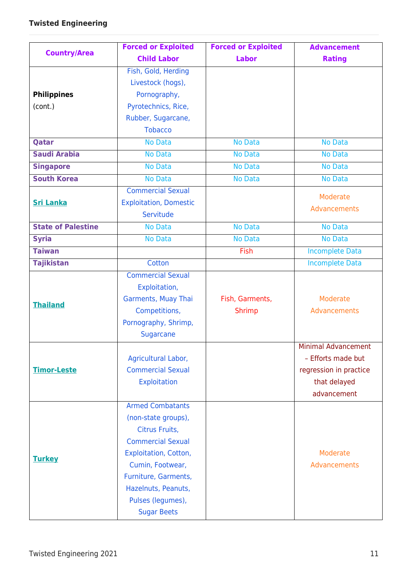|                           | <b>Forced or Exploited</b>    | <b>Forced or Exploited</b> | <b>Advancement</b>         |
|---------------------------|-------------------------------|----------------------------|----------------------------|
| <b>Country/Area</b>       | <b>Child Labor</b>            | <b>Labor</b>               | <b>Rating</b>              |
|                           | Fish, Gold, Herding           |                            |                            |
|                           | Livestock (hogs),             |                            |                            |
| <b>Philippines</b>        | Pornography,                  |                            |                            |
| (cont.)                   | Pyrotechnics, Rice,           |                            |                            |
|                           | Rubber, Sugarcane,            |                            |                            |
|                           | <b>Tobacco</b>                |                            |                            |
| Qatar                     | <b>No Data</b>                | <b>No Data</b>             | <b>No Data</b>             |
| <b>Saudi Arabia</b>       | <b>No Data</b>                | <b>No Data</b>             | No Data                    |
| <b>Singapore</b>          | No Data                       | No Data                    | <b>No Data</b>             |
| <b>South Korea</b>        | <b>No Data</b>                | <b>No Data</b>             | <b>No Data</b>             |
|                           | <b>Commercial Sexual</b>      |                            | Moderate                   |
| <b>Sri Lanka</b>          | <b>Exploitation, Domestic</b> |                            | Advancements               |
|                           | Servitude                     |                            |                            |
| <b>State of Palestine</b> | No Data                       | <b>No Data</b>             | <b>No Data</b>             |
| <b>Syria</b>              | <b>No Data</b>                | <b>No Data</b>             | <b>No Data</b>             |
| <b>Taiwan</b>             |                               | Fish                       | <b>Incomplete Data</b>     |
| <b>Tajikistan</b>         | Cotton                        |                            | <b>Incomplete Data</b>     |
|                           | <b>Commercial Sexual</b>      |                            |                            |
|                           | Exploitation,                 |                            |                            |
| <b>Thailand</b>           | Garments, Muay Thai           | Fish, Garments,            | Moderate                   |
|                           | Competitions,                 | <b>Shrimp</b>              | Advancements               |
|                           | Pornography, Shrimp,          |                            |                            |
|                           | <b>Sugarcane</b>              |                            |                            |
|                           |                               |                            | <b>Minimal Advancement</b> |
|                           | Agricultural Labor,           |                            | - Efforts made but         |
| <b>Timor-Leste</b>        | <b>Commercial Sexual</b>      |                            | regression in practice     |
|                           | Exploitation                  |                            | that delayed               |
|                           |                               |                            | advancement                |
|                           | <b>Armed Combatants</b>       |                            |                            |
|                           | (non-state groups),           |                            |                            |
|                           | Citrus Fruits,                |                            |                            |
|                           | <b>Commercial Sexual</b>      |                            |                            |
| <b>Turkey</b>             | <b>Exploitation, Cotton,</b>  |                            | Moderate                   |
|                           | Cumin, Footwear,              |                            | Advancements               |
|                           | Furniture, Garments,          |                            |                            |
|                           | Hazelnuts, Peanuts,           |                            |                            |
|                           | Pulses (legumes),             |                            |                            |
|                           | <b>Sugar Beets</b>            |                            |                            |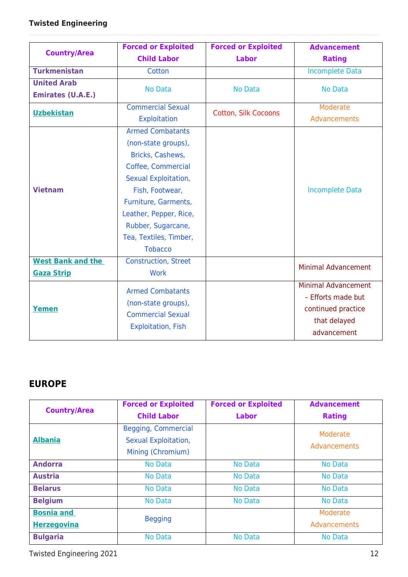|                                               | <b>Forced or Exploited</b>                                                                                                                                                                                                                              | <b>Forced or Exploited</b>  | <b>Advancement</b>                                                                                    |
|-----------------------------------------------|---------------------------------------------------------------------------------------------------------------------------------------------------------------------------------------------------------------------------------------------------------|-----------------------------|-------------------------------------------------------------------------------------------------------|
| <b>Country/Area</b>                           | <b>Child Labor</b>                                                                                                                                                                                                                                      | <b>Labor</b>                | <b>Rating</b>                                                                                         |
| <b>Turkmenistan</b>                           | Cotton                                                                                                                                                                                                                                                  |                             | <b>Incomplete Data</b>                                                                                |
| <b>United Arab</b>                            | <b>No Data</b>                                                                                                                                                                                                                                          | <b>No Data</b>              | <b>No Data</b>                                                                                        |
| <b>Emirates (U.A.E.)</b>                      |                                                                                                                                                                                                                                                         |                             |                                                                                                       |
| <b>Uzbekistan</b>                             | <b>Commercial Sexual</b><br><b>Exploitation</b>                                                                                                                                                                                                         | <b>Cotton, Silk Cocoons</b> | Moderate<br>Advancements                                                                              |
| <b>Vietnam</b>                                | <b>Armed Combatants</b><br>(non-state groups),<br>Bricks, Cashews,<br>Coffee, Commercial<br>Sexual Exploitation,<br>Fish, Footwear,<br>Furniture, Garments,<br>Leather, Pepper, Rice,<br>Rubber, Sugarcane,<br>Tea, Textiles, Timber,<br><b>Tobacco</b> |                             | <b>Incomplete Data</b>                                                                                |
| <b>West Bank and the</b><br><b>Gaza Strip</b> | <b>Construction, Street</b><br><b>Work</b>                                                                                                                                                                                                              |                             | <b>Minimal Advancement</b>                                                                            |
| <b>Yemen</b>                                  | <b>Armed Combatants</b><br>(non-state groups),<br><b>Commercial Sexual</b><br><b>Exploitation, Fish</b>                                                                                                                                                 |                             | <b>Minimal Advancement</b><br>- Efforts made but<br>continued practice<br>that delayed<br>advancement |

### **EUROPE**

| <b>Country/Area</b>                     | <b>Forced or Exploited</b>                                       | <b>Forced or Exploited</b> | <b>Advancement</b>       |
|-----------------------------------------|------------------------------------------------------------------|----------------------------|--------------------------|
|                                         | <b>Child Labor</b>                                               | Labor                      | <b>Rating</b>            |
| <b>Albania</b>                          | Begging, Commercial<br>Sexual Exploitation,<br>Mining (Chromium) |                            | Moderate<br>Advancements |
| <b>Andorra</b>                          | <b>No Data</b>                                                   | <b>No Data</b>             | <b>No Data</b>           |
| <b>Austria</b>                          | <b>No Data</b>                                                   | <b>No Data</b>             | <b>No Data</b>           |
| <b>Belarus</b>                          | <b>No Data</b>                                                   | <b>No Data</b>             | <b>No Data</b>           |
| <b>Belgium</b>                          | No Data                                                          | <b>No Data</b>             | <b>No Data</b>           |
| <b>Bosnia and</b><br><b>Herzegovina</b> | <b>Begging</b>                                                   |                            | Moderate<br>Advancements |
| <b>Bulgaria</b>                         | <b>No Data</b>                                                   | <b>No Data</b>             | <b>No Data</b>           |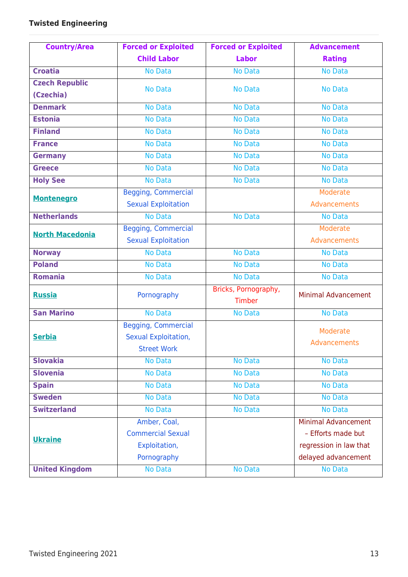| <b>Country/Area</b>    | <b>Forced or Exploited</b> | <b>Forced or Exploited</b> | <b>Advancement</b>         |
|------------------------|----------------------------|----------------------------|----------------------------|
|                        | <b>Child Labor</b>         | <b>Labor</b>               | <b>Rating</b>              |
| <b>Croatia</b>         | <b>No Data</b>             | <b>No Data</b>             | <b>No Data</b>             |
| <b>Czech Republic</b>  | <b>No Data</b>             | <b>No Data</b>             | <b>No Data</b>             |
| (Czechia)              |                            |                            |                            |
| <b>Denmark</b>         | <b>No Data</b>             | <b>No Data</b>             | No Data                    |
| <b>Estonia</b>         | <b>No Data</b>             | <b>No Data</b>             | <b>No Data</b>             |
| <b>Finland</b>         | <b>No Data</b>             | <b>No Data</b>             | <b>No Data</b>             |
| <b>France</b>          | <b>No Data</b>             | <b>No Data</b>             | No Data                    |
| <b>Germany</b>         | <b>No Data</b>             | <b>No Data</b>             | <b>No Data</b>             |
| <b>Greece</b>          | <b>No Data</b>             | <b>No Data</b>             | <b>No Data</b>             |
| <b>Holy See</b>        | No Data                    | <b>No Data</b>             | <b>No Data</b>             |
| <b>Montenegro</b>      | <b>Begging, Commercial</b> |                            | Moderate                   |
|                        | <b>Sexual Exploitation</b> |                            | Advancements               |
| <b>Netherlands</b>     | <b>No Data</b>             | <b>No Data</b>             | No Data                    |
| <b>North Macedonia</b> | <b>Begging, Commercial</b> |                            | <b>Moderate</b>            |
|                        | <b>Sexual Exploitation</b> |                            | Advancements               |
| <b>Norway</b>          | <b>No Data</b>             | <b>No Data</b>             | No Data                    |
| <b>Poland</b>          | <b>No Data</b>             | <b>No Data</b>             | <b>No Data</b>             |
| <b>Romania</b>         | <b>No Data</b>             | <b>No Data</b>             | <b>No Data</b>             |
| <b>Russia</b>          | Pornography                | Bricks, Pornography,       | <b>Minimal Advancement</b> |
|                        |                            | Timber                     |                            |
| <b>San Marino</b>      | <b>No Data</b>             | <b>No Data</b>             | <b>No Data</b>             |
|                        | <b>Begging, Commercial</b> |                            | Moderate                   |
| <b>Serbia</b>          | Sexual Exploitation,       |                            | Advancements               |
|                        | <b>Street Work</b>         |                            |                            |
| <b>Slovakia</b>        | No Data                    | <b>No Data</b>             | No Data                    |
| <b>Slovenia</b>        | No Data                    | <b>No Data</b>             | <b>No Data</b>             |
| <b>Spain</b>           | <b>No Data</b>             | <b>No Data</b>             | No Data                    |
| <b>Sweden</b>          | No Data                    | <b>No Data</b>             | No Data                    |
| <b>Switzerland</b>     | <b>No Data</b>             | <b>No Data</b>             | <b>No Data</b>             |
|                        | Amber, Coal,               |                            | <b>Minimal Advancement</b> |
| <b>Ukraine</b>         | <b>Commercial Sexual</b>   |                            | - Efforts made but         |
|                        | Exploitation,              |                            | regression in law that     |
|                        | Pornography                |                            | delayed advancement        |
| <b>United Kingdom</b>  | <b>No Data</b>             | No Data                    | No Data                    |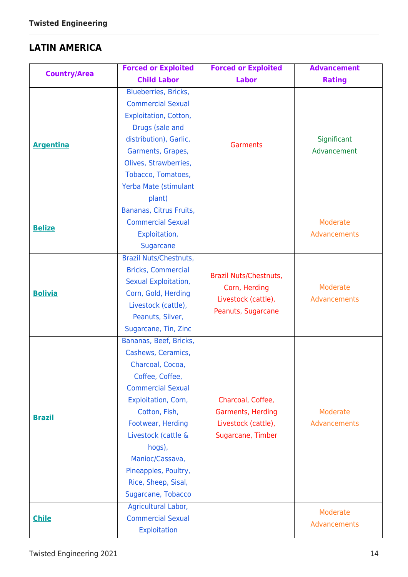## **LATIN AMERICA**

| <b>Country/Area</b> | <b>Forced or Exploited</b>                                                                                                                                                                                                                                                                            | <b>Forced or Exploited</b>                                                           | <b>Advancement</b>         |
|---------------------|-------------------------------------------------------------------------------------------------------------------------------------------------------------------------------------------------------------------------------------------------------------------------------------------------------|--------------------------------------------------------------------------------------|----------------------------|
|                     | <b>Child Labor</b>                                                                                                                                                                                                                                                                                    | <b>Labor</b>                                                                         | <b>Rating</b>              |
| <b>Argentina</b>    | Blueberries, Bricks,<br><b>Commercial Sexual</b><br><b>Exploitation, Cotton,</b><br>Drugs (sale and<br>distribution), Garlic,<br>Garments, Grapes,<br>Olives, Strawberries,<br>Tobacco, Tomatoes,<br>Yerba Mate (stimulant<br>plant)                                                                  | <b>Garments</b>                                                                      | Significant<br>Advancement |
| <b>Belize</b>       | Bananas, Citrus Fruits,<br><b>Commercial Sexual</b><br>Exploitation,<br>Sugarcane                                                                                                                                                                                                                     |                                                                                      | Moderate<br>Advancements   |
| <b>Bolivia</b>      | <b>Brazil Nuts/Chestnuts,</b><br><b>Bricks, Commercial</b><br>Sexual Exploitation,<br>Corn, Gold, Herding<br>Livestock (cattle),<br>Peanuts, Silver,<br>Sugarcane, Tin, Zinc                                                                                                                          | Brazil Nuts/Chestnuts,<br>Corn, Herding<br>Livestock (cattle),<br>Peanuts, Sugarcane | Moderate<br>Advancements   |
| <b>Brazil</b>       | Bananas, Beef, Bricks,<br>Cashews, Ceramics,<br>Charcoal, Cocoa,<br>Coffee, Coffee,<br><b>Commercial Sexual</b><br>Exploitation, Corn,<br>Cotton, Fish,<br>Footwear, Herding<br>Livestock (cattle &<br>hogs),<br>Manioc/Cassava,<br>Pineapples, Poultry,<br>Rice, Sheep, Sisal,<br>Sugarcane, Tobacco | Charcoal, Coffee,<br>Garments, Herding<br>Livestock (cattle),<br>Sugarcane, Timber   | Moderate<br>Advancements   |
| <b>Chile</b>        | Agricultural Labor,<br><b>Commercial Sexual</b><br>Exploitation                                                                                                                                                                                                                                       |                                                                                      | Moderate<br>Advancements   |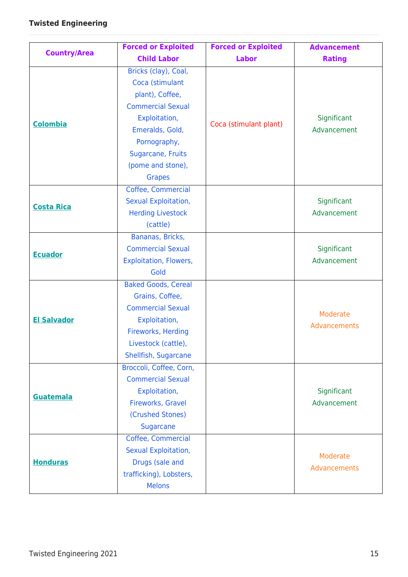|                     | <b>Forced or Exploited</b>                                                                                                                                                                            | <b>Forced or Exploited</b> | <b>Advancement</b>         |
|---------------------|-------------------------------------------------------------------------------------------------------------------------------------------------------------------------------------------------------|----------------------------|----------------------------|
| <b>Country/Area</b> | <b>Child Labor</b>                                                                                                                                                                                    | <b>Labor</b>               | <b>Rating</b>              |
| <b>Colombia</b>     | Bricks (clay), Coal,<br>Coca (stimulant<br>plant), Coffee,<br><b>Commercial Sexual</b><br>Exploitation,<br>Emeralds, Gold,<br>Pornography,<br>Sugarcane, Fruits<br>(pome and stone),<br><b>Grapes</b> | Coca (stimulant plant)     | Significant<br>Advancement |
| <b>Costa Rica</b>   | Coffee, Commercial<br>Sexual Exploitation,<br><b>Herding Livestock</b><br>(cattle)                                                                                                                    |                            | Significant<br>Advancement |
| <b>Ecuador</b>      | Bananas, Bricks,<br><b>Commercial Sexual</b><br><b>Exploitation, Flowers,</b><br>Gold                                                                                                                 |                            | Significant<br>Advancement |
| <b>El Salvador</b>  | <b>Baked Goods, Cereal</b><br>Grains, Coffee,<br><b>Commercial Sexual</b><br>Exploitation,<br>Fireworks, Herding<br>Livestock (cattle),<br>Shellfish, Sugarcane                                       |                            | Moderate<br>Advancements   |
| <b>Guatemala</b>    | Broccoli, Coffee, Corn,<br><b>Commercial Sexual</b><br>Exploitation,<br>Fireworks, Gravel<br>(Crushed Stones)<br><b>Sugarcane</b>                                                                     |                            | Significant<br>Advancement |
| <b>Honduras</b>     | Coffee, Commercial<br>Sexual Exploitation,<br>Drugs (sale and<br>trafficking), Lobsters,<br><b>Melons</b>                                                                                             |                            | Moderate<br>Advancements   |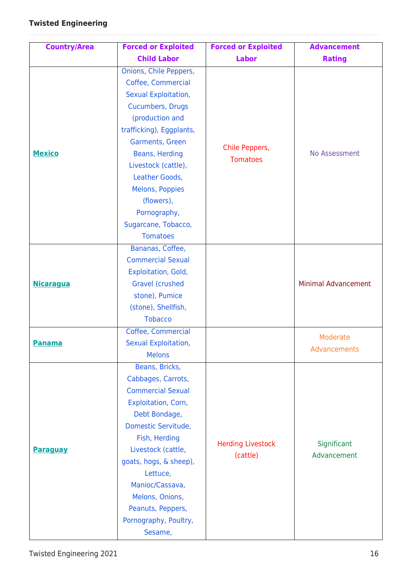| <b>Country/Area</b> | <b>Forced or Exploited</b>                                                                                                                                                                                                                                                                                              | <b>Forced or Exploited</b>           | <b>Advancement</b>         |
|---------------------|-------------------------------------------------------------------------------------------------------------------------------------------------------------------------------------------------------------------------------------------------------------------------------------------------------------------------|--------------------------------------|----------------------------|
|                     | <b>Child Labor</b>                                                                                                                                                                                                                                                                                                      | <b>Labor</b>                         | <b>Rating</b>              |
| <b>Mexico</b>       | Onions, Chile Peppers,<br>Coffee, Commercial<br>Sexual Exploitation,<br><b>Cucumbers, Drugs</b><br>(production and<br>trafficking), Eggplants,<br>Garments, Green<br>Beans, Herding<br>Livestock (cattle),<br>Leather Goods,<br>Melons, Poppies<br>(flowers),<br>Pornography,<br>Sugarcane, Tobacco,<br><b>Tomatoes</b> | Chile Peppers,<br><b>Tomatoes</b>    | No Assessment              |
| <b>Nicaragua</b>    | Bananas, Coffee,<br><b>Commercial Sexual</b><br>Exploitation, Gold,<br><b>Gravel (crushed</b><br>stone), Pumice<br>(stone), Shellfish,<br><b>Tobacco</b>                                                                                                                                                                |                                      | <b>Minimal Advancement</b> |
| <b>Panama</b>       | Coffee, Commercial<br>Sexual Exploitation,<br><b>Melons</b>                                                                                                                                                                                                                                                             |                                      | Moderate<br>Advancements   |
| <b>Paraguay</b>     | Beans, Bricks,<br>Cabbages, Carrots,<br><b>Commercial Sexual</b><br>Exploitation, Corn,<br>Debt Bondage,<br>Domestic Servitude,<br>Fish, Herding<br>Livestock (cattle,<br>goats, hogs, & sheep),<br>Lettuce,<br>Manioc/Cassava,<br>Melons, Onions,<br>Peanuts, Peppers,<br>Pornography, Poultry,<br>Sesame,             | <b>Herding Livestock</b><br>(cattle) | Significant<br>Advancement |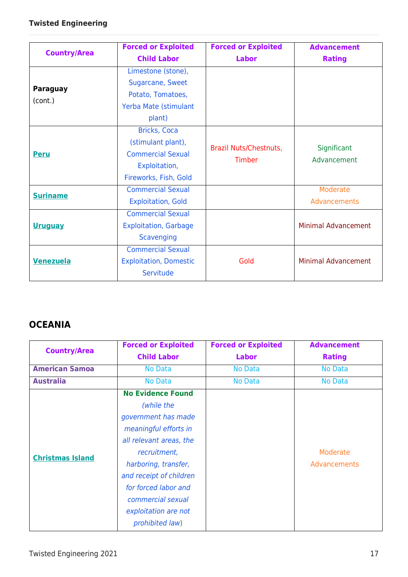|                     | <b>Forced or Exploited</b>    | <b>Forced or Exploited</b>              | <b>Advancement</b>         |
|---------------------|-------------------------------|-----------------------------------------|----------------------------|
| <b>Country/Area</b> | <b>Child Labor</b>            | <b>Labor</b>                            | <b>Rating</b>              |
|                     | Limestone (stone),            |                                         |                            |
| <b>Paraguay</b>     | Sugarcane, Sweet              |                                         |                            |
| (cont.)             | Potato, Tomatoes,             |                                         |                            |
|                     | Yerba Mate (stimulant         |                                         |                            |
|                     | plant)                        |                                         |                            |
|                     | <b>Bricks, Coca</b>           |                                         |                            |
| <b>Peru</b>         | (stimulant plant),            | Brazil Nuts/Chestnuts,<br><b>Timber</b> | Significant<br>Advancement |
|                     | <b>Commercial Sexual</b>      |                                         |                            |
|                     | Exploitation,                 |                                         |                            |
|                     | Fireworks, Fish, Gold         |                                         |                            |
|                     | <b>Commercial Sexual</b>      |                                         | Moderate                   |
| <b>Suriname</b>     | <b>Exploitation, Gold</b>     |                                         | Advancements               |
|                     | <b>Commercial Sexual</b>      |                                         |                            |
| <b>Uruguay</b>      | <b>Exploitation, Garbage</b>  |                                         | <b>Minimal Advancement</b> |
|                     | <b>Scavenging</b>             |                                         |                            |
|                     | <b>Commercial Sexual</b>      |                                         |                            |
| <b>Venezuela</b>    | <b>Exploitation, Domestic</b> | Gold                                    | <b>Minimal Advancement</b> |
|                     | Servitude                     |                                         |                            |

### **OCEANIA**

| <b>Country/Area</b>     | <b>Forced or Exploited</b> | <b>Forced or Exploited</b> | <b>Advancement</b> |
|-------------------------|----------------------------|----------------------------|--------------------|
|                         | <b>Child Labor</b>         | <b>Labor</b>               | <b>Rating</b>      |
| <b>American Samoa</b>   | <b>No Data</b>             | <b>No Data</b>             | <b>No Data</b>     |
| <b>Australia</b>        | <b>No Data</b>             | <b>No Data</b>             | <b>No Data</b>     |
|                         | <b>No Evidence Found</b>   |                            |                    |
|                         | (while the                 |                            |                    |
|                         | government has made        |                            |                    |
|                         | meaningful efforts in      |                            |                    |
|                         | all relevant areas, the    |                            |                    |
| <b>Christmas Island</b> | recruitment,               |                            | Moderate           |
|                         | harboring, transfer,       |                            | Advancements       |
|                         | and receipt of children    |                            |                    |
|                         | for forced labor and       |                            |                    |
|                         | commercial sexual          |                            |                    |
|                         | exploitation are not       |                            |                    |
|                         | prohibited law)            |                            |                    |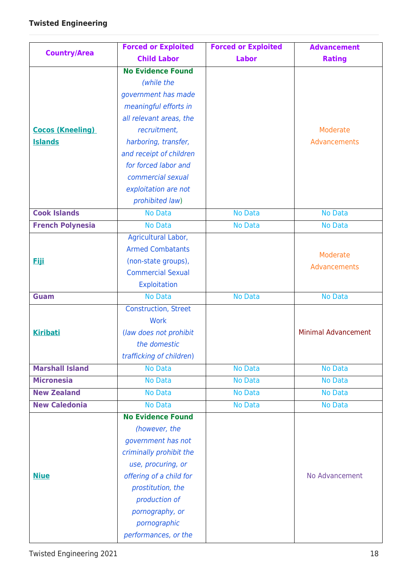|                         | <b>Forced or Exploited</b>  | <b>Forced or Exploited</b> | <b>Advancement</b>         |
|-------------------------|-----------------------------|----------------------------|----------------------------|
| <b>Country/Area</b>     | <b>Child Labor</b>          | <b>Labor</b>               | <b>Rating</b>              |
|                         | <b>No Evidence Found</b>    |                            |                            |
|                         | (while the                  |                            |                            |
|                         | government has made         |                            |                            |
|                         | meaningful efforts in       |                            |                            |
|                         | all relevant areas, the     |                            |                            |
| <b>Cocos (Kneeling)</b> | recruitment,                |                            | Moderate                   |
| <b>Islands</b>          | harboring, transfer,        |                            | Advancements               |
|                         | and receipt of children     |                            |                            |
|                         | for forced labor and        |                            |                            |
|                         | commercial sexual           |                            |                            |
|                         | exploitation are not        |                            |                            |
|                         | prohibited law)             |                            |                            |
| <b>Cook Islands</b>     | <b>No Data</b>              | <b>No Data</b>             | <b>No Data</b>             |
| <b>French Polynesia</b> | No Data                     | <b>No Data</b>             | <b>No Data</b>             |
|                         | Agricultural Labor,         |                            |                            |
|                         | <b>Armed Combatants</b>     |                            | Moderate                   |
| <u>Fiii</u>             | (non-state groups),         |                            | Advancements               |
|                         | <b>Commercial Sexual</b>    |                            |                            |
|                         | <b>Exploitation</b>         |                            |                            |
| <b>Guam</b>             | <b>No Data</b>              | <b>No Data</b>             | <b>No Data</b>             |
|                         | <b>Construction, Street</b> |                            |                            |
|                         | <b>Work</b>                 |                            |                            |
| <b>Kiribati</b>         | (law does not prohibit      |                            | <b>Minimal Advancement</b> |
|                         | the domestic                |                            |                            |
|                         | trafficking of children)    |                            |                            |
| <b>Marshall Island</b>  | <b>No Data</b>              | No Data                    | No Data                    |
| <b>Micronesia</b>       | <b>No Data</b>              | <b>No Data</b>             | <b>No Data</b>             |
| <b>New Zealand</b>      | <b>No Data</b>              | No Data                    | No Data                    |
| <b>New Caledonia</b>    | <b>No Data</b>              | <b>No Data</b>             | No Data                    |
|                         | <b>No Evidence Found</b>    |                            |                            |
|                         | (however, the               |                            |                            |
|                         | government has not          |                            |                            |
|                         | criminally prohibit the     |                            |                            |
|                         | use, procuring, or          |                            |                            |
| <b>Niue</b>             | offering of a child for     |                            | No Advancement             |
|                         | prostitution, the           |                            |                            |
|                         | production of               |                            |                            |
|                         | pornography, or             |                            |                            |
|                         | pornographic                |                            |                            |
|                         | performances, or the        |                            |                            |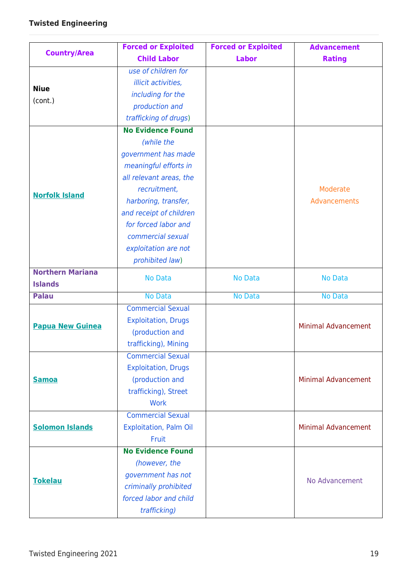|                         | <b>Forced or Exploited</b>    | <b>Forced or Exploited</b> | <b>Advancement</b>         |
|-------------------------|-------------------------------|----------------------------|----------------------------|
| <b>Country/Area</b>     | <b>Child Labor</b>            | <b>Labor</b>               | <b>Rating</b>              |
|                         | use of children for           |                            |                            |
| <b>Niue</b>             | illicit activities,           |                            |                            |
| (cont.)                 | including for the             |                            |                            |
|                         | production and                |                            |                            |
|                         | trafficking of drugs)         |                            |                            |
|                         | <b>No Evidence Found</b>      |                            |                            |
|                         | (while the                    |                            |                            |
|                         | government has made           |                            |                            |
|                         | meaningful efforts in         |                            |                            |
|                         | all relevant areas, the       |                            |                            |
|                         | recruitment,                  |                            | Moderate                   |
| <b>Norfolk Island</b>   | harboring, transfer,          |                            | Advancements               |
|                         | and receipt of children       |                            |                            |
|                         | for forced labor and          |                            |                            |
|                         | commercial sexual             |                            |                            |
|                         | exploitation are not          |                            |                            |
|                         | prohibited law)               |                            |                            |
| <b>Northern Mariana</b> |                               |                            |                            |
| <b>Islands</b>          | <b>No Data</b>                | <b>No Data</b>             | <b>No Data</b>             |
| <b>Palau</b>            | <b>No Data</b>                | <b>No Data</b>             | <b>No Data</b>             |
|                         | <b>Commercial Sexual</b>      |                            |                            |
| <b>Papua New Guinea</b> | <b>Exploitation, Drugs</b>    |                            | <b>Minimal Advancement</b> |
|                         | (production and               |                            |                            |
|                         | trafficking), Mining          |                            |                            |
|                         | <b>Commercial Sexual</b>      |                            |                            |
|                         | <b>Exploitation, Drugs</b>    |                            |                            |
| <b>Samoa</b>            | (production and               |                            | <b>Minimal Advancement</b> |
|                         | trafficking), Street          |                            |                            |
|                         | <b>Work</b>                   |                            |                            |
|                         | <b>Commercial Sexual</b>      |                            |                            |
| <b>Solomon Islands</b>  | <b>Exploitation, Palm Oil</b> |                            | <b>Minimal Advancement</b> |
|                         | Fruit                         |                            |                            |
|                         | <b>No Evidence Found</b>      |                            |                            |
|                         | (however, the                 |                            |                            |
| <b>Tokelau</b>          | government has not            |                            | No Advancement             |
|                         | criminally prohibited         |                            |                            |
|                         | forced labor and child        |                            |                            |
|                         | trafficking)                  |                            |                            |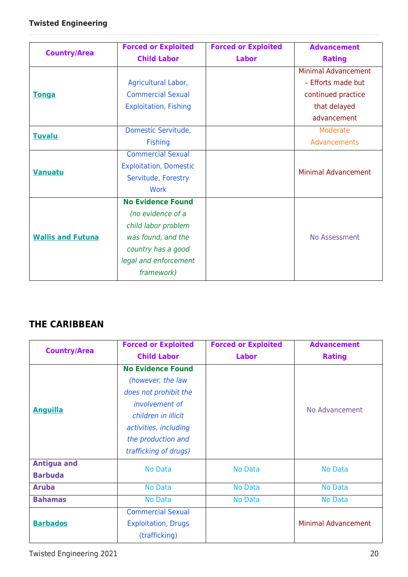| <b>Country/Area</b>      | <b>Forced or Exploited</b>    | <b>Forced or Exploited</b> | <b>Advancement</b>         |
|--------------------------|-------------------------------|----------------------------|----------------------------|
|                          | <b>Child Labor</b>            | <b>Labor</b>               | <b>Rating</b>              |
|                          |                               |                            | <b>Minimal Advancement</b> |
|                          | Agricultural Labor,           |                            | - Efforts made but         |
| <b>Tonga</b>             | <b>Commercial Sexual</b>      |                            | continued practice         |
|                          | <b>Exploitation, Fishing</b>  |                            | that delayed               |
|                          |                               |                            | advancement                |
| <b>Tuvalu</b>            | Domestic Servitude,           |                            | Moderate                   |
|                          | <b>Fishing</b>                |                            | Advancements               |
| <b>Vanuatu</b>           | <b>Commercial Sexual</b>      |                            |                            |
|                          | <b>Exploitation, Domestic</b> |                            | <b>Minimal Advancement</b> |
|                          | Servitude, Forestry           |                            |                            |
|                          | Work                          |                            |                            |
|                          | <b>No Evidence Found</b>      |                            |                            |
|                          | (no evidence of a             |                            |                            |
| <b>Wallis and Futuna</b> | child labor problem           |                            |                            |
|                          | was found, and the            |                            | No Assessment              |
|                          | country has a good            |                            |                            |
|                          | legal and enforcement         |                            |                            |
|                          | framework)                    |                            |                            |

### **THE CARIBBEAN**

| <b>Country/Area</b>                  | <b>Forced or Exploited</b><br><b>Child Labor</b>                                                                                                                                        | <b>Forced or Exploited</b><br><b>Labor</b> | <b>Advancement</b><br><b>Rating</b> |
|--------------------------------------|-----------------------------------------------------------------------------------------------------------------------------------------------------------------------------------------|--------------------------------------------|-------------------------------------|
| <b>Anguilla</b>                      | <b>No Evidence Found</b><br>(however, the law<br>does not prohibit the<br>involvement of<br>children in illicit<br>activities, including<br>the production and<br>trafficking of drugs) |                                            | No Advancement                      |
| <b>Antigua and</b><br><b>Barbuda</b> | <b>No Data</b>                                                                                                                                                                          | <b>No Data</b>                             | No Data                             |
| <b>Aruba</b>                         | <b>No Data</b>                                                                                                                                                                          | <b>No Data</b>                             | <b>No Data</b>                      |
| <b>Bahamas</b>                       | No Data                                                                                                                                                                                 | <b>No Data</b>                             | <b>No Data</b>                      |
| <b>Barbados</b>                      | <b>Commercial Sexual</b><br><b>Exploitation, Drugs</b><br>(trafficking)                                                                                                                 |                                            | <b>Minimal Advancement</b>          |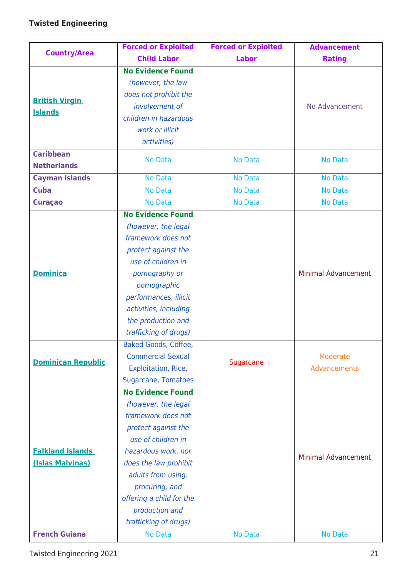| <b>Country/Area</b>       | <b>Forced or Exploited</b> | <b>Forced or Exploited</b> | <b>Advancement</b>         |
|---------------------------|----------------------------|----------------------------|----------------------------|
|                           | <b>Child Labor</b>         | <b>Labor</b>               | <b>Rating</b>              |
|                           | <b>No Evidence Found</b>   |                            |                            |
|                           | (however, the law          |                            |                            |
|                           | does not prohibit the      |                            |                            |
| <b>British Virgin</b>     | involvement of             |                            | No Advancement             |
| <b>Islands</b>            | children in hazardous      |                            |                            |
|                           | work or illicit            |                            |                            |
|                           | activities)                |                            |                            |
| <b>Caribbean</b>          | <b>No Data</b>             | <b>No Data</b>             | <b>No Data</b>             |
| <b>Netherlands</b>        |                            |                            |                            |
| <b>Cayman Islands</b>     | <b>No Data</b>             | <b>No Data</b>             | <b>No Data</b>             |
| <b>Cuba</b>               | <b>No Data</b>             | <b>No Data</b>             | <b>No Data</b>             |
| <b>Curaçao</b>            | No Data                    | <b>No Data</b>             | <b>No Data</b>             |
|                           | <b>No Evidence Found</b>   |                            |                            |
|                           | (however, the legal        |                            |                            |
|                           | framework does not         |                            |                            |
|                           | protect against the        |                            |                            |
|                           | use of children in         |                            |                            |
| <b>Dominica</b>           | pornography or             |                            | <b>Minimal Advancement</b> |
|                           | pornographic               |                            |                            |
|                           | performances, illicit      |                            |                            |
|                           | activities, including      |                            |                            |
|                           | the production and         |                            |                            |
|                           | trafficking of drugs)      |                            |                            |
|                           | <b>Baked Goods, Coffee</b> |                            |                            |
| <b>Dominican Republic</b> | <b>Commercial Sexual</b>   | Sugarcane                  | Moderate                   |
|                           | Exploitation, Rice,        |                            | Advancements               |
|                           | <b>Sugarcane, Tomatoes</b> |                            |                            |
|                           | <b>No Evidence Found</b>   |                            |                            |
|                           | (however, the legal        |                            |                            |
|                           | framework does not         |                            |                            |
|                           | protect against the        |                            |                            |
|                           | use of children in         |                            |                            |
| <b>Falkland Islands</b>   | hazardous work, nor        |                            | <b>Minimal Advancement</b> |
| (Islas Malvinas)          | does the law prohibit      |                            |                            |
|                           | adults from using,         |                            |                            |
|                           | procuring, and             |                            |                            |
|                           | offering a child for the   |                            |                            |
|                           | production and             |                            |                            |
|                           | trafficking of drugs)      |                            |                            |
| <b>French Guiana</b>      | <b>No Data</b>             | No Data                    | No Data                    |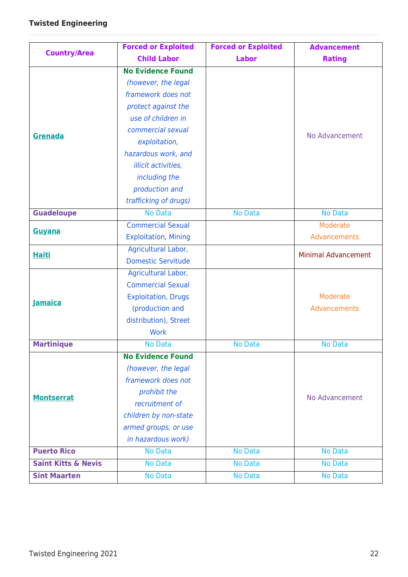| <b>Country/Area</b>            | <b>Forced or Exploited</b>  | <b>Forced or Exploited</b> | <b>Advancement</b>         |
|--------------------------------|-----------------------------|----------------------------|----------------------------|
|                                | <b>Child Labor</b>          | <b>Labor</b>               | <b>Rating</b>              |
|                                | <b>No Evidence Found</b>    |                            |                            |
|                                | (however, the legal         |                            |                            |
|                                | framework does not          |                            |                            |
|                                | protect against the         |                            | No Advancement             |
|                                | use of children in          |                            |                            |
| Grenada                        | commercial sexual           |                            |                            |
|                                | exploitation,               |                            |                            |
|                                | hazardous work, and         |                            |                            |
|                                | illicit activities,         |                            |                            |
|                                | including the               |                            |                            |
|                                | production and              |                            |                            |
|                                | trafficking of drugs)       |                            |                            |
| <b>Guadeloupe</b>              | <b>No Data</b>              | <b>No Data</b>             | <b>No Data</b>             |
| Guyana                         | <b>Commercial Sexual</b>    |                            | Moderate                   |
|                                | <b>Exploitation, Mining</b> |                            | Advancements               |
| <b>Haiti</b>                   | Agricultural Labor,         |                            | <b>Minimal Advancement</b> |
|                                | <b>Domestic Servitude</b>   |                            |                            |
|                                | Agricultural Labor,         |                            |                            |
|                                | <b>Commercial Sexual</b>    |                            |                            |
| <b>Jamaica</b>                 | <b>Exploitation, Drugs</b>  |                            | Moderate                   |
|                                | (production and             |                            | Advancements               |
|                                | distribution), Street       |                            |                            |
|                                | <b>Work</b>                 |                            |                            |
| <b>Martinique</b>              | No Data                     | <b>No Data</b>             | <b>No Data</b>             |
|                                | <b>No Evidence Found</b>    |                            |                            |
|                                | (however, the legal         |                            |                            |
|                                | framework does not          |                            | No Advancement             |
| <b>Montserrat</b>              | prohibit the                |                            |                            |
|                                | recruitment of              |                            |                            |
|                                | children by non-state       |                            |                            |
|                                | armed groups, or use        |                            |                            |
|                                | in hazardous work)          |                            |                            |
| <b>Puerto Rico</b>             | <b>No Data</b>              | <b>No Data</b>             | <b>No Data</b>             |
| <b>Saint Kitts &amp; Nevis</b> | No Data                     | No Data                    | <b>No Data</b>             |
| <b>Sint Maarten</b>            | No Data                     | <b>No Data</b>             | <b>No Data</b>             |